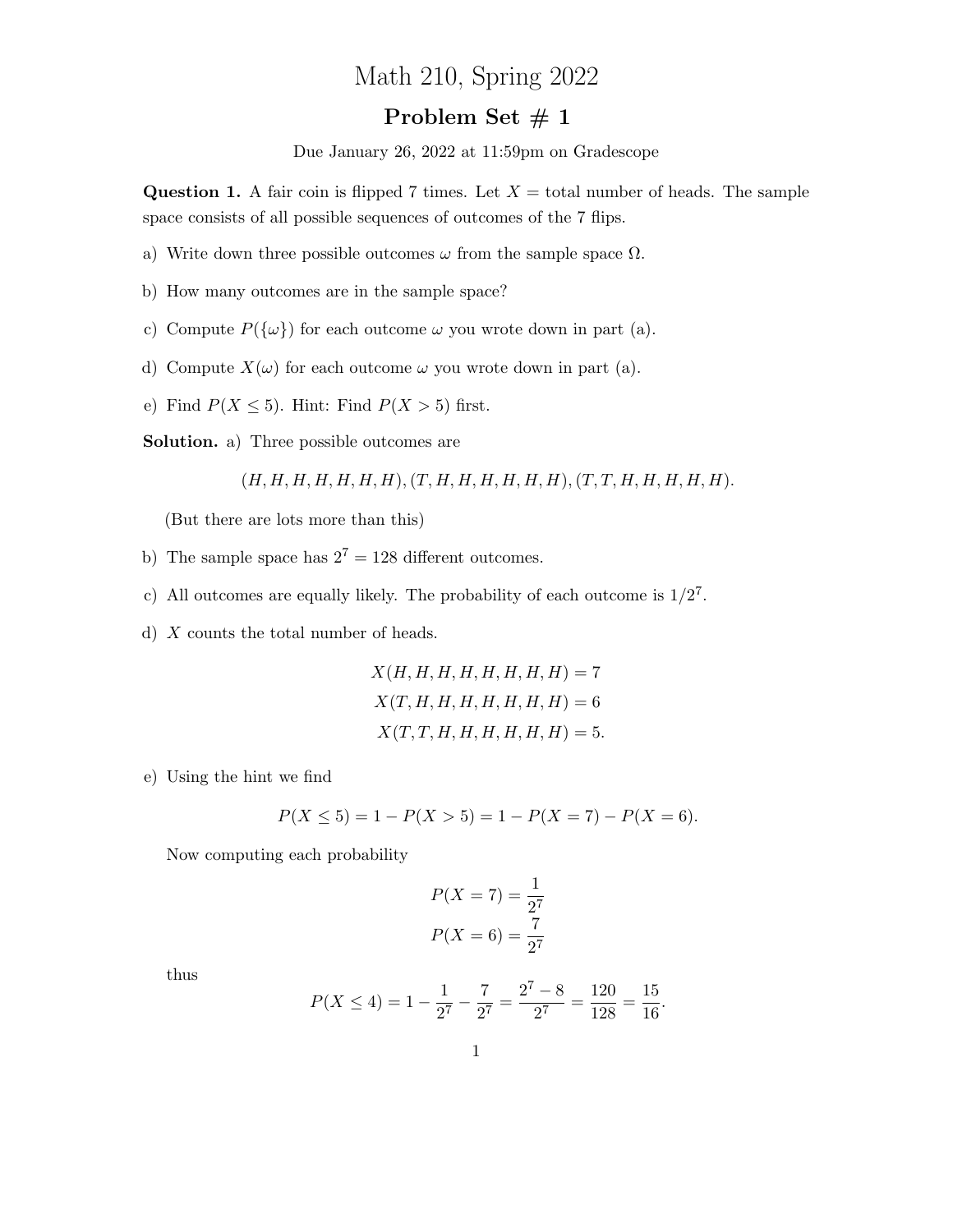## Math 210, Spring 2022

## Problem Set  $# 1$

Due January 26, 2022 at 11:59pm on Gradescope

**Question 1.** A fair coin is flipped 7 times. Let  $X =$  total number of heads. The sample space consists of all possible sequences of outcomes of the 7 flips.

- a) Write down three possible outcomes  $\omega$  from the sample space  $\Omega$ .
- b) How many outcomes are in the sample space?
- c) Compute  $P({\omega})$  for each outcome  $\omega$  you wrote down in part (a).
- d) Compute  $X(\omega)$  for each outcome  $\omega$  you wrote down in part (a).
- e) Find  $P(X \le 5)$ . Hint: Find  $P(X > 5)$  first.

Solution. a) Three possible outcomes are

$$
(H, H, H, H, H, H, H), (T, H, H, H, H, H, H), (T, T, H, H, H, H, H).
$$

(But there are lots more than this)

- b) The sample space has  $2^7 = 128$  different outcomes.
- c) All outcomes are equally likely. The probability of each outcome is  $1/2^7$ .
- d) X counts the total number of heads.

$$
X(H, H, H, H, H, H, H, H) = 7
$$
  
\n
$$
X(T, H, H, H, H, H, H, H) = 6
$$
  
\n
$$
X(T, T, H, H, H, H, H, H) = 5.
$$

e) Using the hint we find

$$
P(X \le 5) = 1 - P(X > 5) = 1 - P(X = 7) - P(X = 6).
$$

Now computing each probability

$$
P(X = 7) = \frac{1}{2^7}
$$

$$
P(X = 6) = \frac{7}{2^7}
$$

thus

$$
P(X \le 4) = 1 - \frac{1}{2^7} - \frac{7}{2^7} = \frac{2^7 - 8}{2^7} = \frac{120}{128} = \frac{15}{16}.
$$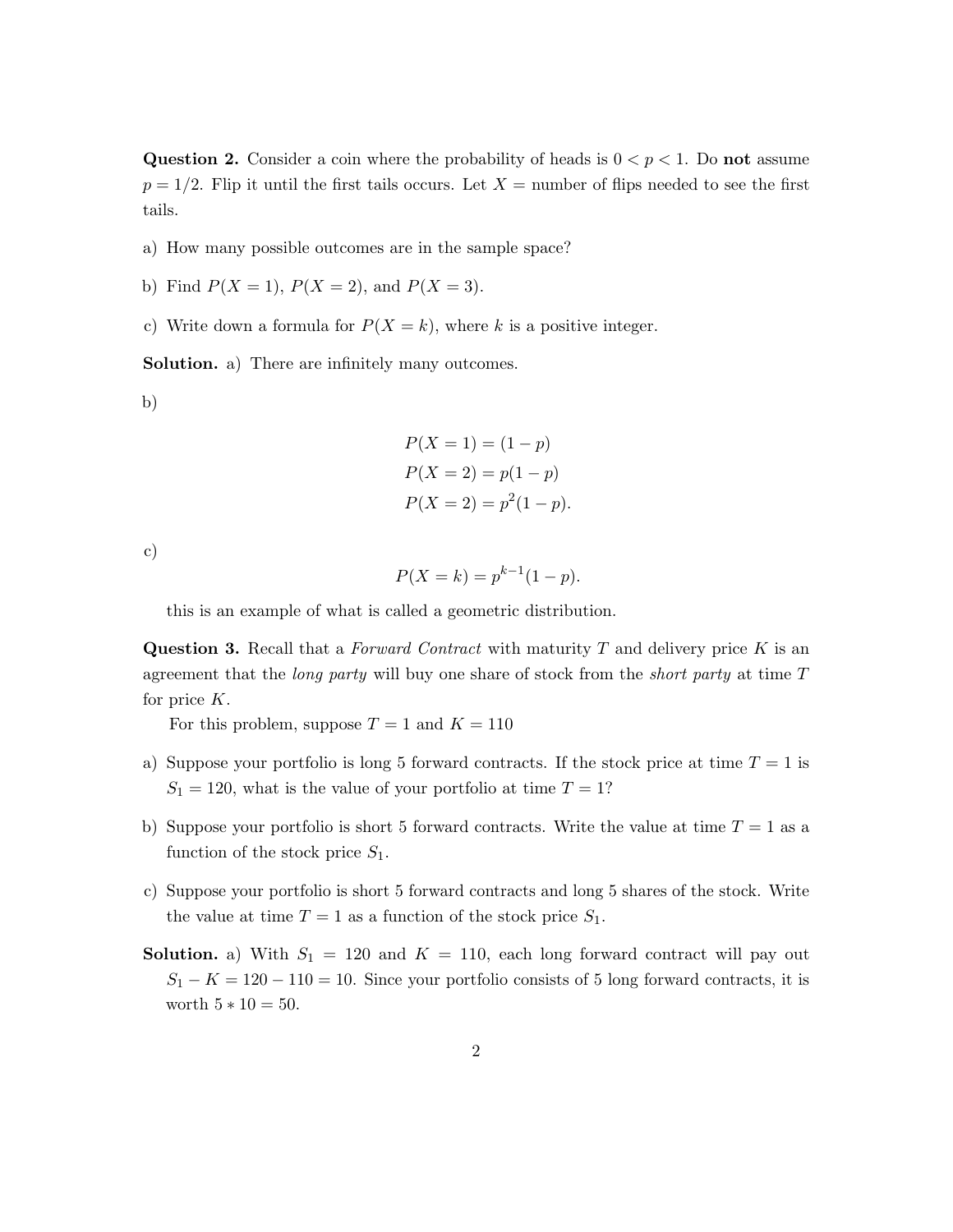Question 2. Consider a coin where the probability of heads is  $0 < p < 1$ . Do not assume  $p = 1/2$ . Flip it until the first tails occurs. Let  $X =$  number of flips needed to see the first tails.

- a) How many possible outcomes are in the sample space?
- b) Find  $P(X = 1)$ ,  $P(X = 2)$ , and  $P(X = 3)$ .
- c) Write down a formula for  $P(X = k)$ , where k is a positive integer.

Solution. a) There are infinitely many outcomes.

b)

$$
P(X = 1) = (1 - p)
$$
  
\n
$$
P(X = 2) = p(1 - p)
$$
  
\n
$$
P(X = 2) = p^{2}(1 - p).
$$

c)

$$
P(X = k) = p^{k-1}(1 - p).
$$

this is an example of what is called a geometric distribution.

**Question 3.** Recall that a *Forward Contract* with maturity  $T$  and delivery price  $K$  is an agreement that the *long party* will buy one share of stock from the *short party* at time  $T$ for price K.

For this problem, suppose  $T = 1$  and  $K = 110$ 

- a) Suppose your portfolio is long 5 forward contracts. If the stock price at time  $T = 1$  is  $S_1 = 120$ , what is the value of your portfolio at time  $T = 1?$
- b) Suppose your portfolio is short 5 forward contracts. Write the value at time  $T = 1$  as a function of the stock price  $S_1$ .
- c) Suppose your portfolio is short 5 forward contracts and long 5 shares of the stock. Write the value at time  $T = 1$  as a function of the stock price  $S_1$ .
- **Solution.** a) With  $S_1 = 120$  and  $K = 110$ , each long forward contract will pay out  $S_1 - K = 120 - 110 = 10$ . Since your portfolio consists of 5 long forward contracts, it is worth  $5 * 10 = 50$ .